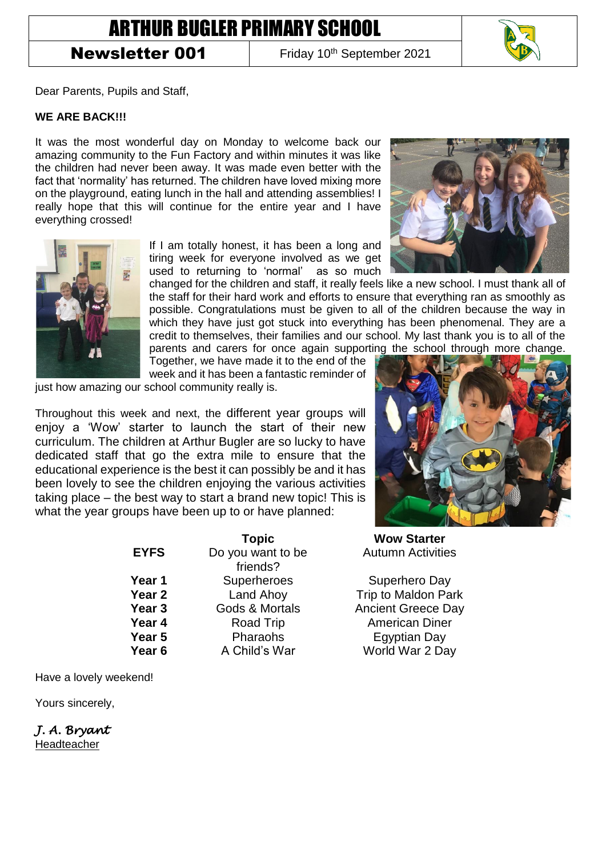## ARTHUR BUGLER PRIMARY SCHOOL

## Newsletter 001

Friday 10<sup>th</sup> September 2021

Dear Parents, Pupils and Staff,

## **WE ARE BACK!!!**

It was the most wonderful day on Monday to welcome back our amazing community to the Fun Factory and within minutes it was like the children had never been away. It was made even better with the fact that 'normality' has returned. The children have loved mixing more on the playground, eating lunch in the hall and attending assemblies! I really hope that this will continue for the entire year and I have everything crossed!



If I am totally honest, it has been a long and tiring week for everyone involved as we get used to returning to 'normal' as so much

changed for the children and staff, it really feels like a new school. I must thank all of the staff for their hard work and efforts to ensure that everything ran as smoothly as possible. Congratulations must be given to all of the children because the way in which they have just got stuck into everything has been phenomenal. They are a credit to themselves, their families and our school. My last thank you is to all of the parents and carers for once again supporting the school through more change.

Together, we have made it to the end of the week and it has been a fantastic reminder of

just how amazing our school community really is.

Throughout this week and next, the different year groups will enjoy a 'Wow' starter to launch the start of their new curriculum. The children at Arthur Bugler are so lucky to have dedicated staff that go the extra mile to ensure that the educational experience is the best it can possibly be and it has been lovely to see the children enjoying the various activities taking place – the best way to start a brand new topic! This is what the year groups have been up to or have planned:

> **EYFS** Do you want to be friends? **Year 1** Superheroes Superhero Day **Year 2** Land Ahoy **Trip to Maldon Park Year 3** Gods & Mortals **Ancient Greece Day Year 4** Road Trip **American Diner Year 5** Pharaohs **Egyptian Day Year 6** A Child's War World War 2 Day



**Topic Wow Starter** Autumn Activities

Have a lovely weekend!

Yours sincerely,

*J. A. Bryant*  **Headteacher** 



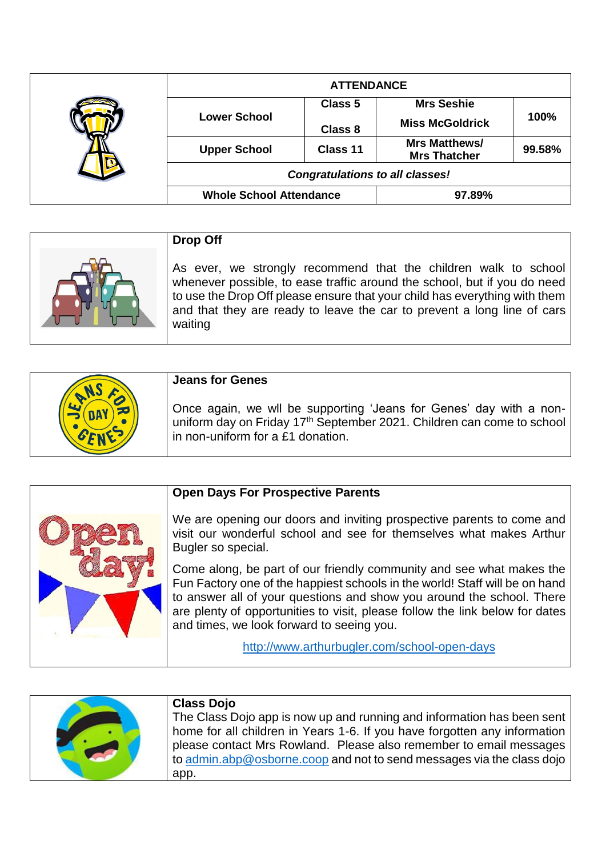|  | <b>ATTENDANCE</b>                      |                |                                             |        |
|--|----------------------------------------|----------------|---------------------------------------------|--------|
|  |                                        | <b>Class 5</b> | <b>Mrs Seshie</b>                           |        |
|  | <b>Lower School</b>                    | <b>Class 8</b> | <b>Miss McGoldrick</b>                      | 100%   |
|  | <b>Upper School</b>                    | Class 11       | <b>Mrs Matthews/</b><br><b>Mrs Thatcher</b> | 99.58% |
|  | <b>Congratulations to all classes!</b> |                |                                             |        |
|  | <b>Whole School Attendance</b>         |                | 97.89%                                      |        |

| <b>Drop Off</b>                                                                                                                                                                                                                                                                                                 |
|-----------------------------------------------------------------------------------------------------------------------------------------------------------------------------------------------------------------------------------------------------------------------------------------------------------------|
| As ever, we strongly recommend that the children walk to school<br>whenever possible, to ease traffic around the school, but if you do need<br>to use the Drop Off please ensure that your child has everything with them<br>and that they are ready to leave the car to prevent a long line of cars<br>waiting |

| <b>Jeans for Genes</b>                                                                                                                                                            |
|-----------------------------------------------------------------------------------------------------------------------------------------------------------------------------------|
| Once again, we wll be supporting 'Jeans for Genes' day with a non-<br>uniform day on Friday 17th September 2021. Children can come to school<br>in non-uniform for a £1 donation. |

|  | <b>Open Days For Prospective Parents</b>                                                                                                                                                                                                                                                                                                                  |
|--|-----------------------------------------------------------------------------------------------------------------------------------------------------------------------------------------------------------------------------------------------------------------------------------------------------------------------------------------------------------|
|  | We are opening our doors and inviting prospective parents to come and<br>visit our wonderful school and see for themselves what makes Arthur<br>Bugler so special.                                                                                                                                                                                        |
|  | Come along, be part of our friendly community and see what makes the<br>Fun Factory one of the happiest schools in the world! Staff will be on hand<br>to answer all of your questions and show you around the school. There<br>are plenty of opportunities to visit, please follow the link below for dates<br>and times, we look forward to seeing you. |
|  | http://www.arthurbugler.com/school-open-days                                                                                                                                                                                                                                                                                                              |

| <b>Class Dojo</b><br>The Class Dojo app is now up and running and information has been sent<br>home for all children in Years 1-6. If you have forgotten any information<br>please contact Mrs Rowland. Please also remember to email messages<br>to admin.abp@osborne.coop and not to send messages via the class dojo |
|-------------------------------------------------------------------------------------------------------------------------------------------------------------------------------------------------------------------------------------------------------------------------------------------------------------------------|
| app.                                                                                                                                                                                                                                                                                                                    |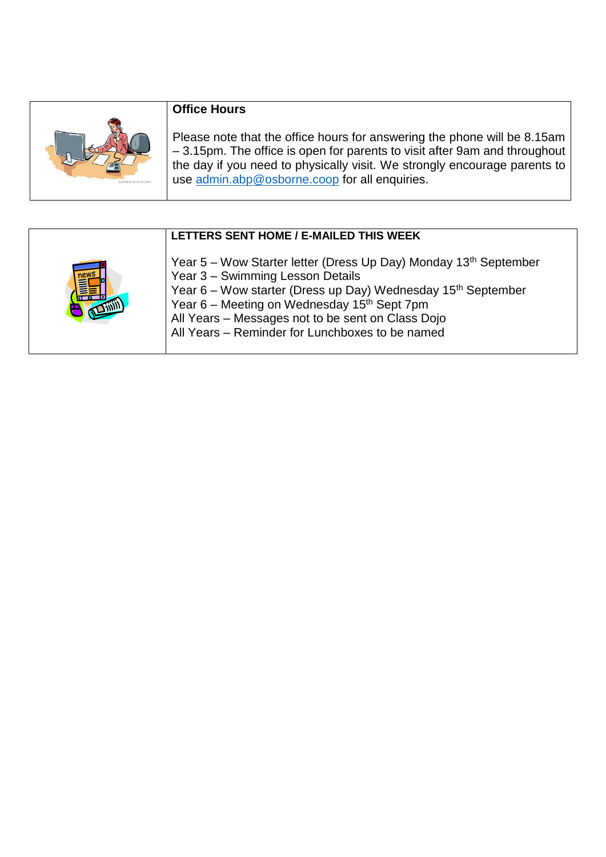| <b>Illustration by Ches Gash</b> |
|----------------------------------|
|                                  |

## **Office Hours**

Please note that the office hours for answering the phone will be 8.15am – 3.15pm. The office is open for parents to visit after 9am and throughout the day if you need to physically visit. We strongly encourage parents to use [admin.abp@osborne.coop](mailto:admin.abp@osborne.coop) for all enquiries.

| LETTERS SENT HOME / E-MAILED THIS WEEK                                                                                                                                                                                                                                                                                                              |
|-----------------------------------------------------------------------------------------------------------------------------------------------------------------------------------------------------------------------------------------------------------------------------------------------------------------------------------------------------|
| Year 5 – Wow Starter letter (Dress Up Day) Monday 13th September<br>Year 3 - Swimming Lesson Details<br>Year 6 – Wow starter (Dress up Day) Wednesday 15 <sup>th</sup> September<br>Year 6 – Meeting on Wednesday 15 <sup>th</sup> Sept 7pm<br>All Years - Messages not to be sent on Class Dojo<br>All Years - Reminder for Lunchboxes to be named |